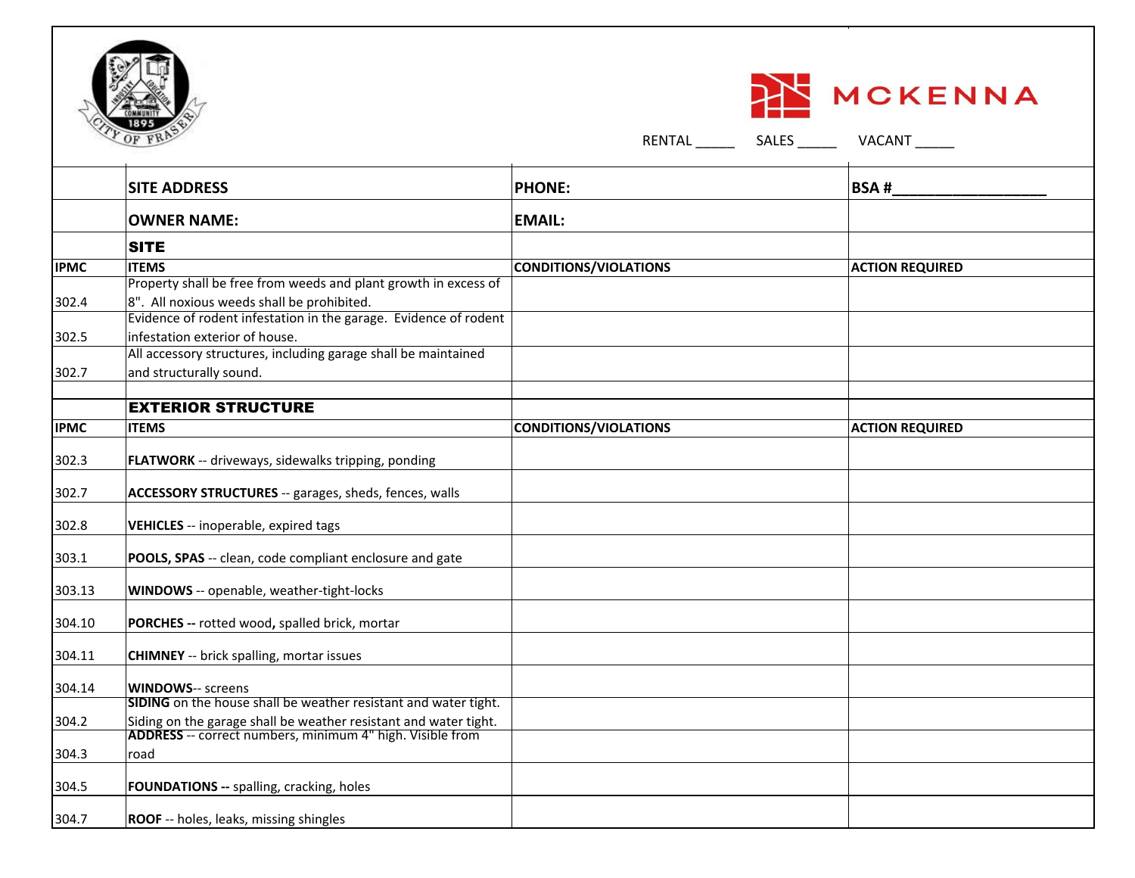



| <b>SITE ADDRESS</b>                                             | <b>PHONE:</b>                                                                                                                                                                                                                                                                                                                    | <b>BSA#</b>                                                      |
|-----------------------------------------------------------------|----------------------------------------------------------------------------------------------------------------------------------------------------------------------------------------------------------------------------------------------------------------------------------------------------------------------------------|------------------------------------------------------------------|
| <b>OWNER NAME:</b>                                              | <b>EMAIL:</b>                                                                                                                                                                                                                                                                                                                    |                                                                  |
| <b>SITE</b>                                                     |                                                                                                                                                                                                                                                                                                                                  |                                                                  |
| <b>ITEMS</b>                                                    | CONDITIONS/VIOLATIONS                                                                                                                                                                                                                                                                                                            | <b>ACTION REQUIRED</b>                                           |
| Property shall be free from weeds and plant growth in excess of |                                                                                                                                                                                                                                                                                                                                  |                                                                  |
| 8". All noxious weeds shall be prohibited.                      |                                                                                                                                                                                                                                                                                                                                  |                                                                  |
|                                                                 |                                                                                                                                                                                                                                                                                                                                  |                                                                  |
| infestation exterior of house.                                  |                                                                                                                                                                                                                                                                                                                                  |                                                                  |
|                                                                 |                                                                                                                                                                                                                                                                                                                                  |                                                                  |
| and structurally sound.                                         |                                                                                                                                                                                                                                                                                                                                  |                                                                  |
|                                                                 |                                                                                                                                                                                                                                                                                                                                  |                                                                  |
| <b>EXTERIOR STRUCTURE</b>                                       |                                                                                                                                                                                                                                                                                                                                  |                                                                  |
| <b>ITEMS</b>                                                    | <b>CONDITIONS/VIOLATIONS</b>                                                                                                                                                                                                                                                                                                     | <b>ACTION REQUIRED</b>                                           |
|                                                                 |                                                                                                                                                                                                                                                                                                                                  |                                                                  |
|                                                                 |                                                                                                                                                                                                                                                                                                                                  |                                                                  |
| ACCESSORY STRUCTURES -- garages, sheds, fences, walls           |                                                                                                                                                                                                                                                                                                                                  |                                                                  |
| VEHICLES -- inoperable, expired tags                            |                                                                                                                                                                                                                                                                                                                                  |                                                                  |
| POOLS, SPAS -- clean, code compliant enclosure and gate         |                                                                                                                                                                                                                                                                                                                                  |                                                                  |
| WINDOWS -- openable, weather-tight-locks                        |                                                                                                                                                                                                                                                                                                                                  |                                                                  |
| PORCHES -- rotted wood, spalled brick, mortar                   |                                                                                                                                                                                                                                                                                                                                  |                                                                  |
| <b>CHIMNEY</b> -- brick spalling, mortar issues                 |                                                                                                                                                                                                                                                                                                                                  |                                                                  |
| <b>WINDOWS-- screens</b>                                        |                                                                                                                                                                                                                                                                                                                                  |                                                                  |
|                                                                 |                                                                                                                                                                                                                                                                                                                                  |                                                                  |
|                                                                 |                                                                                                                                                                                                                                                                                                                                  |                                                                  |
|                                                                 |                                                                                                                                                                                                                                                                                                                                  |                                                                  |
|                                                                 |                                                                                                                                                                                                                                                                                                                                  |                                                                  |
| FOUNDATIONS -- spalling, cracking, holes                        |                                                                                                                                                                                                                                                                                                                                  |                                                                  |
| ROOF -- holes, leaks, missing shingles                          |                                                                                                                                                                                                                                                                                                                                  |                                                                  |
|                                                                 | All accessory structures, including garage shall be maintained<br>FLATWORK -- driveways, sidewalks tripping, ponding<br>SIDING on the house shall be weather resistant and water tight.<br>Siding on the garage shall be weather resistant and water tight.<br>ADDRESS -- correct numbers, minimum 4" high. Visible from<br>road | Evidence of rodent infestation in the garage. Evidence of rodent |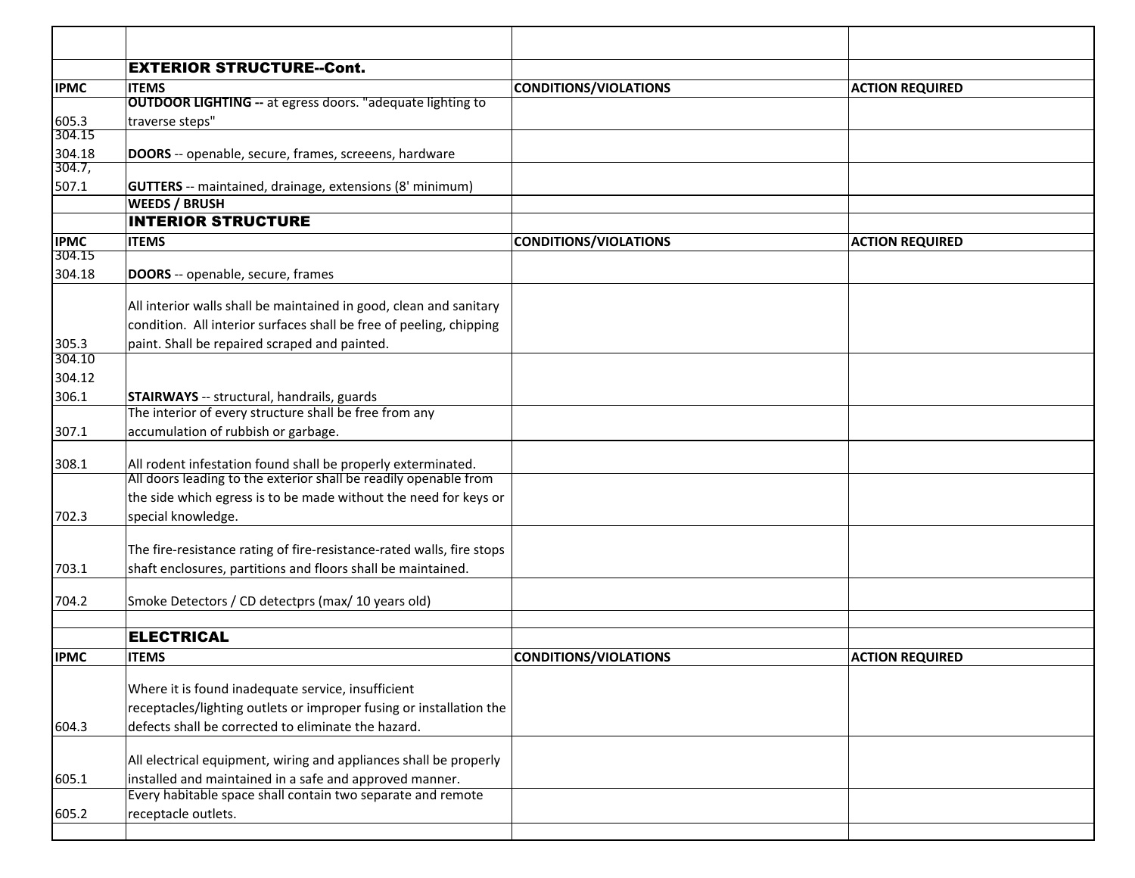| <b>EXTERIOR STRUCTURE--Cont.</b><br><b>IPMC</b><br><b>ITEMS</b><br><b>CONDITIONS/VIOLATIONS</b><br><b>ACTION REQUIRED</b> |  |
|---------------------------------------------------------------------------------------------------------------------------|--|
|                                                                                                                           |  |
|                                                                                                                           |  |
| <b>OUTDOOR LIGHTING -- at egress doors. "adequate lighting to</b>                                                         |  |
| traverse steps"<br>605.3                                                                                                  |  |
| 304.15                                                                                                                    |  |
| 304.18<br>DOORS -- openable, secure, frames, screeens, hardware<br>304.7,                                                 |  |
| 507.1<br>GUTTERS -- maintained, drainage, extensions (8' minimum)                                                         |  |
| <b>WEEDS / BRUSH</b>                                                                                                      |  |
| <b>INTERIOR STRUCTURE</b>                                                                                                 |  |
| <b>IPMC</b><br><b>ITEMS</b><br>CONDITIONS/VIOLATIONS<br><b>ACTION REQUIRED</b>                                            |  |
| 304.15                                                                                                                    |  |
| 304.18<br><b>DOORS</b> -- openable, secure, frames                                                                        |  |
|                                                                                                                           |  |
| All interior walls shall be maintained in good, clean and sanitary                                                        |  |
| condition. All interior surfaces shall be free of peeling, chipping                                                       |  |
| paint. Shall be repaired scraped and painted.<br>305.3                                                                    |  |
| 304.10                                                                                                                    |  |
| 304.12                                                                                                                    |  |
| 306.1<br><b>STAIRWAYS</b> -- structural, handrails, guards                                                                |  |
| The interior of every structure shall be free from any                                                                    |  |
| accumulation of rubbish or garbage.<br>307.1                                                                              |  |
| All rodent infestation found shall be properly exterminated.<br>308.1                                                     |  |
| All doors leading to the exterior shall be readily openable from                                                          |  |
| the side which egress is to be made without the need for keys or                                                          |  |
| special knowledge.<br>702.3                                                                                               |  |
|                                                                                                                           |  |
| The fire-resistance rating of fire-resistance-rated walls, fire stops                                                     |  |
| shaft enclosures, partitions and floors shall be maintained.<br>703.1                                                     |  |
|                                                                                                                           |  |
| Smoke Detectors / CD detectprs (max/ 10 years old)<br>704.2                                                               |  |
|                                                                                                                           |  |
| <b>ELECTRICAL</b>                                                                                                         |  |
| <b>IPMC</b><br><b>ITEMS</b><br>CONDITIONS/VIOLATIONS<br><b>ACTION REQUIRED</b>                                            |  |
|                                                                                                                           |  |
| Where it is found inadequate service, insufficient                                                                        |  |
| receptacles/lighting outlets or improper fusing or installation the                                                       |  |
| defects shall be corrected to eliminate the hazard.<br>604.3                                                              |  |
| All electrical equipment, wiring and appliances shall be properly                                                         |  |
| installed and maintained in a safe and approved manner.                                                                   |  |
| 605.1<br>Every habitable space shall contain two separate and remote                                                      |  |
| 605.2<br>receptacle outlets.                                                                                              |  |
|                                                                                                                           |  |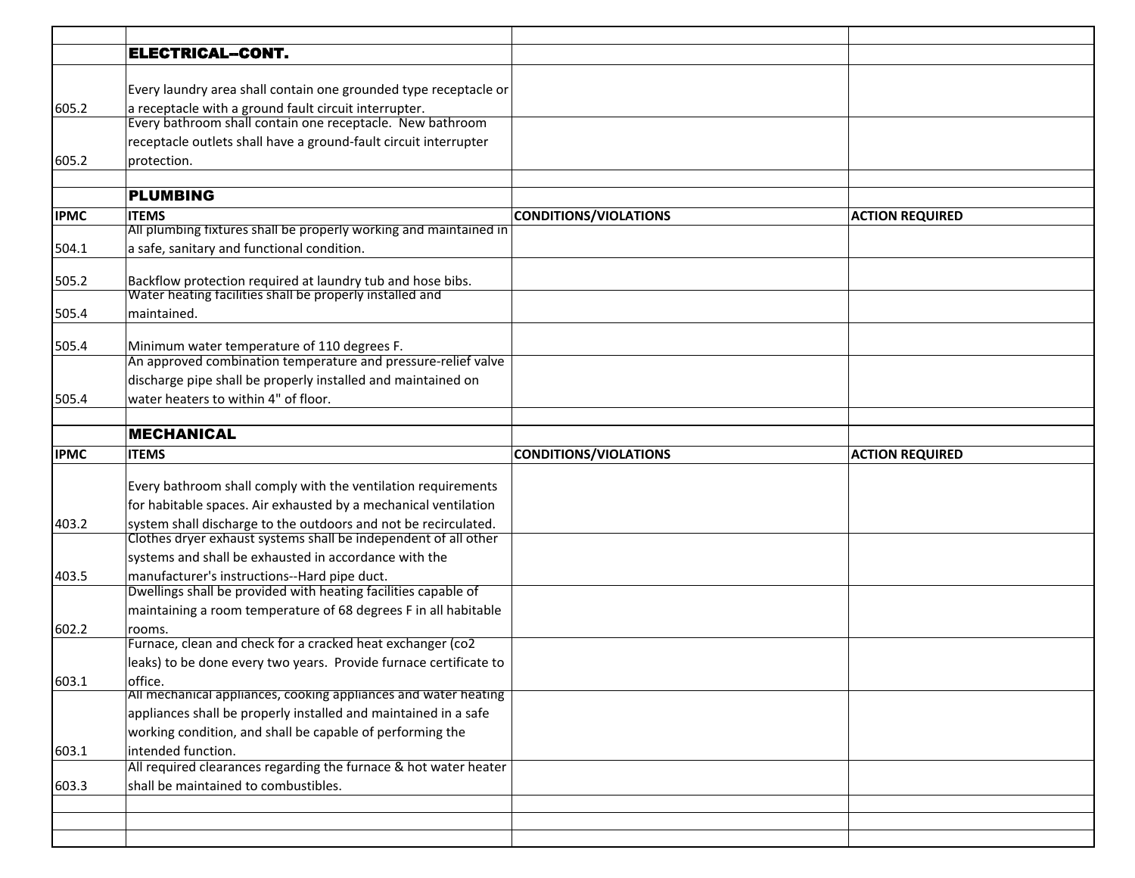|             | <b>ELECTRICAL-CONT.</b>                                                           |                              |                        |
|-------------|-----------------------------------------------------------------------------------|------------------------------|------------------------|
|             |                                                                                   |                              |                        |
|             | Every laundry area shall contain one grounded type receptacle or                  |                              |                        |
| 605.2       | a receptacle with a ground fault circuit interrupter.                             |                              |                        |
|             | Every bathroom shall contain one receptacle. New bathroom                         |                              |                        |
|             | receptacle outlets shall have a ground-fault circuit interrupter                  |                              |                        |
| 605.2       | protection.                                                                       |                              |                        |
|             |                                                                                   |                              |                        |
|             | <b>PLUMBING</b>                                                                   |                              |                        |
| <b>IPMC</b> | <b>ITEMS</b><br>All plumbing fixtures shall be properly working and maintained in | <b>CONDITIONS/VIOLATIONS</b> | <b>ACTION REQUIRED</b> |
|             |                                                                                   |                              |                        |
| 504.1       | a safe, sanitary and functional condition.                                        |                              |                        |
| 505.2       | Backflow protection required at laundry tub and hose bibs.                        |                              |                        |
|             | Water heating facilities shall be properly installed and                          |                              |                        |
| 505.4       | maintained.                                                                       |                              |                        |
|             |                                                                                   |                              |                        |
| 505.4       | Minimum water temperature of 110 degrees F.                                       |                              |                        |
|             | An approved combination temperature and pressure-relief valve                     |                              |                        |
|             | discharge pipe shall be properly installed and maintained on                      |                              |                        |
| 505.4       | water heaters to within 4" of floor.                                              |                              |                        |
|             | <b>MECHANICAL</b>                                                                 |                              |                        |
|             |                                                                                   |                              |                        |
| <b>IPMC</b> | <b>ITEMS</b>                                                                      | <b>CONDITIONS/VIOLATIONS</b> | <b>ACTION REQUIRED</b> |
|             | Every bathroom shall comply with the ventilation requirements                     |                              |                        |
|             | for habitable spaces. Air exhausted by a mechanical ventilation                   |                              |                        |
| 403.2       | system shall discharge to the outdoors and not be recirculated.                   |                              |                        |
|             | Clothes dryer exhaust systems shall be independent of all other                   |                              |                        |
|             | systems and shall be exhausted in accordance with the                             |                              |                        |
| 403.5       | manufacturer's instructions--Hard pipe duct.                                      |                              |                        |
|             | Dwellings shall be provided with heating facilities capable of                    |                              |                        |
|             | maintaining a room temperature of 68 degrees F in all habitable                   |                              |                        |
| 602.2       | rooms.                                                                            |                              |                        |
|             | Furnace, clean and check for a cracked heat exchanger (co2                        |                              |                        |
|             | leaks) to be done every two years. Provide furnace certificate to                 |                              |                        |
| 603.1       | office.                                                                           |                              |                        |
|             | All mechanical appliances, cooking appliances and water heating                   |                              |                        |
|             | appliances shall be properly installed and maintained in a safe                   |                              |                        |
|             | working condition, and shall be capable of performing the                         |                              |                        |
| 603.1       | intended function.                                                                |                              |                        |
|             | All required clearances regarding the furnace & hot water heater                  |                              |                        |
| 603.3       | shall be maintained to combustibles.                                              |                              |                        |
|             |                                                                                   |                              |                        |
|             |                                                                                   |                              |                        |
|             |                                                                                   |                              |                        |